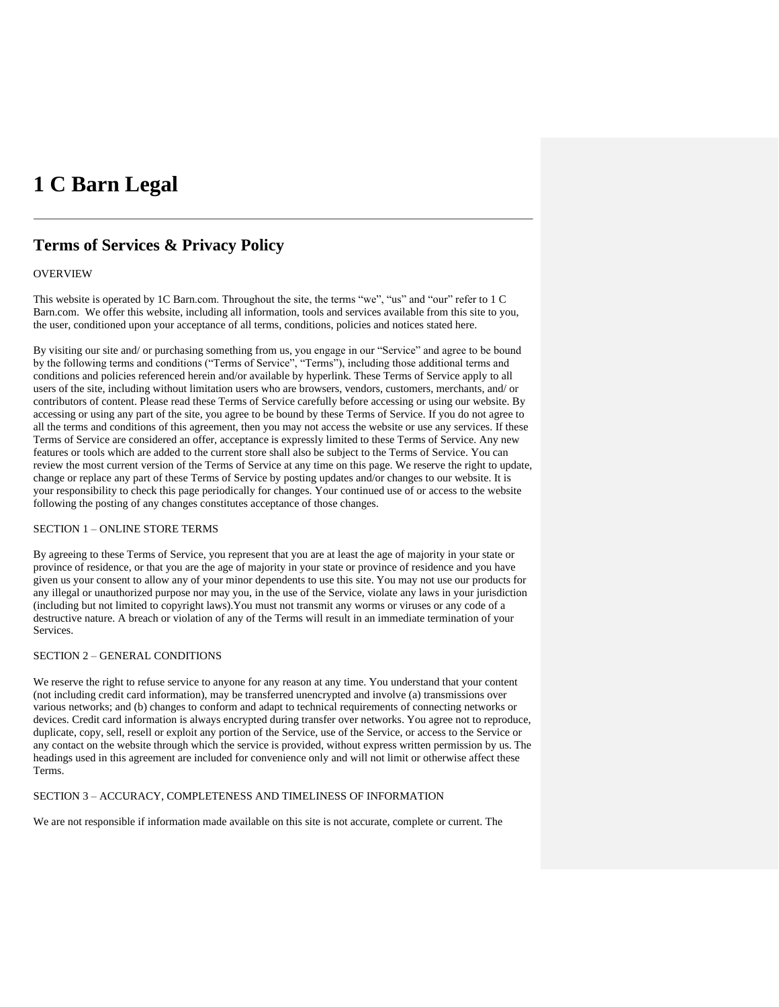# **1 C Barn Legal**

# **Terms of Services & Privacy Policy**

#### **OVER VIEW**

This website is operated by 1C Barn.com. Throughout the site, the terms "we", "us" and "our" refer to 1 C Barn.com. We offer this website, including all information, tools and services available from this site to you, the user, conditioned upon your acceptance of all terms, conditions, policies and notices stated here.

By visiting our site and/ or purchasing something from us, you engage in our "Service" and agree to be bound by the following terms and conditions ("Terms of Service", "Terms"), including those additional terms and conditions and policies referenced herein and/or available by hyperlink. These Terms of Service apply to all users of the site, including without limitation users who are browsers, vendors, customers, merchants, and/ or contributors of content. Please read these Terms of Service carefully before accessing or using our website. By accessing or using any part of the site, you agree to be bound by these Terms of Service. If you do not agree to all the terms and conditions of this agreement, then you may not access the website or use any services. If these Terms of Service are considered an offer, acceptance is expressly limited to these Terms of Service. Any new features or tools which are added to the current store shall also be subject to the Terms of Service. You can review the most current version of the Terms of Service at any time on this page. We reserve the right to update, change or replace any part of these Terms of Service by posting updates and/or changes to our website. It is your responsibility to check this page periodically for changes. Your continued use of or access to the website following the posting of any changes constitutes acceptance of those changes.

#### SECTION 1 – ONLINE STORE TERMS

By agreeing to these Terms of Service, you represent that you are at least the age of majority in your state or province of residence, or that you are the age of majority in your state or province of residence and you have given us your consent to allow any of your minor dependents to use this site. You may not use our products for any illegal or unauthorized purpose nor may you, in the use of the Service, violate any laws in your jurisdiction (including but not limited to copyright laws).You must not transmit any worms or viruses or any code of a destructive nature. A breach or violation of any of the Terms will result in an immediate termination of your Services.

#### SECTION 2 – GENERAL CONDITIONS

We reserve the right to refuse service to anyone for any reason at any time. You understand that your content (not including credit card information), may be transferred unencrypted and involve (a) transmissions over various networks; and (b) changes to conform and adapt to technical requirements of connecting networks or devices. Credit card information is always encrypted during transfer over networks. You agree not to reproduce, duplicate, copy, sell, resell or exploit any portion of the Service, use of the Service, or access to the Service or any contact on the website through which the service is provided, without express written permission by us. The headings used in this agreement are included for convenience only and will not limit or otherwise affect these Terms.

#### SECTION 3 – ACCURACY, COMPLETENESS AND TIMELINESS OF INFORMATION

We are not responsible if information made available on this site is not accurate, complete or current. The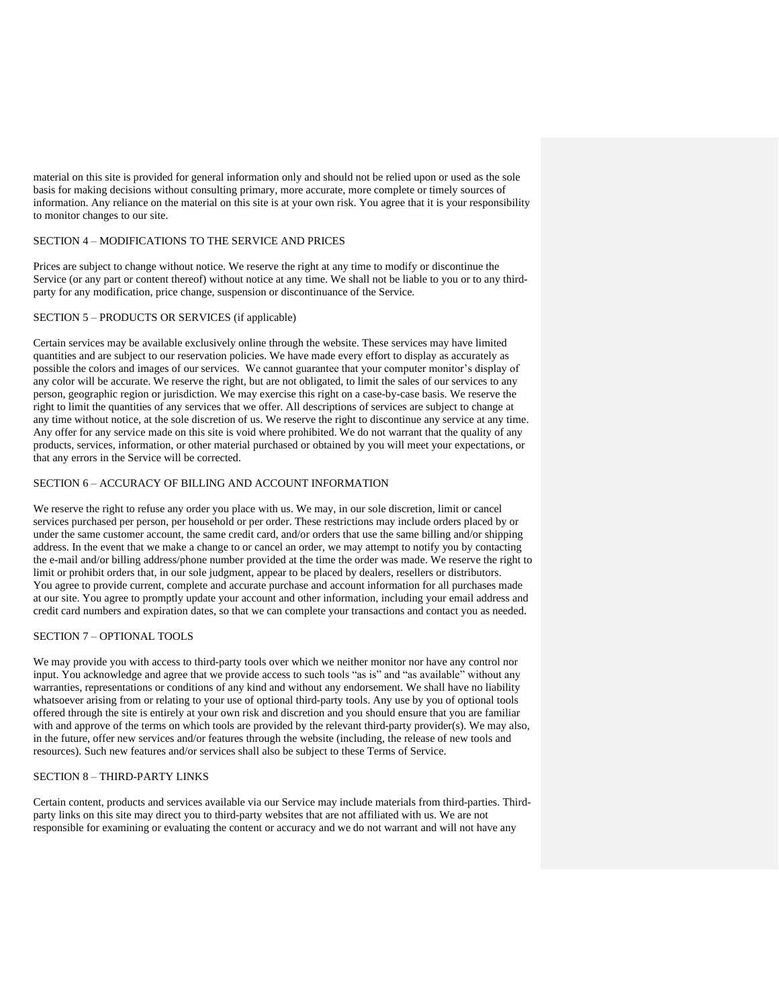material on this site is provided for general information only and should not be relied upon or used as the sole basis for making decisions without consulting primary, more accurate, more complete or timely sources of information. Any reliance on the material on this site is at your own risk. You agree that it is your responsibility to monitor changes to our site.

#### SECTION 4 – MODIFICATIONS TO THE SERVICE AND PRICES

Prices are subject to change without notice. We reserve the right at any time to modify or discontinue the Service (or any part or content thereof) without notice at any time. We shall not be liable to you or to any thirdparty for any modification, price change, suspension or discontinuance of the Service.

#### SECTION 5 – PRODUCTS OR SERVICES (if applicable)

Certain services may be available exclusively online through the website. These services may have limited quantities and are subject to our reservation policies. We have made every effort to display as accurately as possible the colors and images of our services. We cannot guarantee that your computer monitor's display of any color will be accurate. We reserve the right, but are not obligated, to limit the sales of our services to any person, geographic region or jurisdiction. We may exercise this right on a case-by-case basis. We reserve the right to limit the quantities of any services that we offer. All descriptions of services are subject to change at any time without notice, at the sole discretion of us. We reserve the right to discontinue any service at any time. Any offer for any service made on this site is void where prohibited. We do not warrant that the quality of any products, services, information, or other material purchased or obtained by you will meet your expectations, or that any errors in the Service will be corrected.

#### SECTION 6 – ACCURACY OF BILLING AND ACCOUNT INFORMATION

We reserve the right to refuse any order you place with us. We may, in our sole discretion, limit or cancel services purchased per person, per household or per order. These restrictions may include orders placed by or under the same customer account, the same credit card, and/or orders that use the same billing and/or shipping address. In the event that we make a change to or cancel an order, we may attempt to notify you by contacting the e-mail and/or billing address/phone number provided at the time the order was made. We reserve the right to limit or prohibit orders that, in our sole judgment, appear to be placed by dealers, resellers or distributors. You agree to provide current, complete and accurate purchase and account information for all purchases made at our site. You agree to promptly update your account and other information, including your email address and credit card numbers and expiration dates, so that we can complete your transactions and contact you as needed.

#### SECTION 7 – OPTIONAL TOOLS

We may provide you with access to third-party tools over which we neither monitor nor have any control nor input. You acknowledge and agree that we provide access to such tools "as is" and "as available" without any warranties, representations or conditions of any kind and without any endorsement. We shall have no liability whatsoever arising from or relating to your use of optional third-party tools. Any use by you of optional tools offered through the site is entirely at your own risk and discretion and you should ensure that you are familiar with and approve of the terms on which tools are provided by the relevant third-party provider(s). We may also, in the future, offer new services and/or features through the website (including, the release of new tools and resources). Such new features and/or services shall also be subject to these Terms of Service.

#### SECTION 8 – THIRD-PARTY LINKS

Certain content, products and services available via our Service may include materials from third-parties. Thirdparty links on this site may direct you to third-party websites that are not affiliated with us. We are not responsible for examining or evaluating the content or accuracy and we do not warrant and will not have any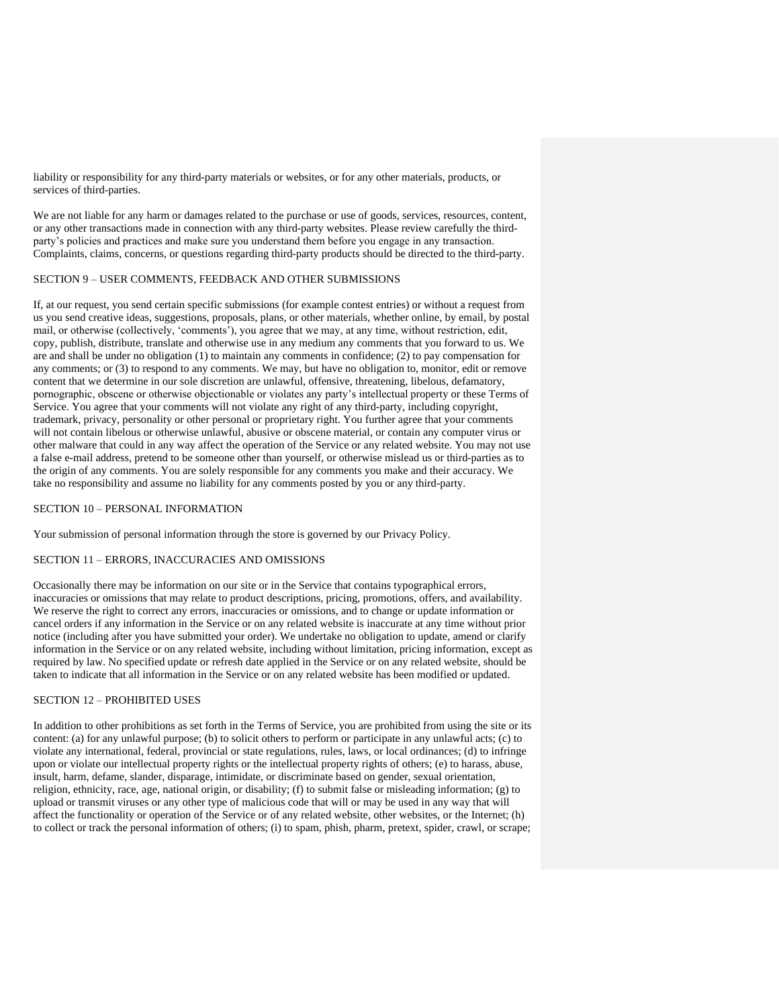liability or responsibility for any third-party materials or websites, or for any other materials, products, or services of third-parties.

We are not liable for any harm or damages related to the purchase or use of goods, services, resources, content, or any other transactions made in connection with any third-party websites. Please review carefully the thirdparty's policies and practices and make sure you understand them before you engage in any transaction. Complaints, claims, concerns, or questions regarding third-party products should be directed to the third-party.

#### SECTION 9 – USER COMMENTS, FEEDBACK AND OTHER SUBMISSIONS

If, at our request, you send certain specific submissions (for example contest entries) or without a request from us you send creative ideas, suggestions, proposals, plans, or other materials, whether online, by email, by postal mail, or otherwise (collectively, 'comments'), you agree that we may, at any time, without restriction, edit, copy, publish, distribute, translate and otherwise use in any medium any comments that you forward to us. We are and shall be under no obligation (1) to maintain any comments in confidence; (2) to pay compensation for any comments; or (3) to respond to any comments. We may, but have no obligation to, monitor, edit or remove content that we determine in our sole discretion are unlawful, offensive, threatening, libelous, defamatory, pornographic, obscene or otherwise objectionable or violates any party's intellectual property or these Terms of Service. You agree that your comments will not violate any right of any third-party, including copyright, trademark, privacy, personality or other personal or proprietary right. You further agree that your comments will not contain libelous or otherwise unlawful, abusive or obscene material, or contain any computer virus or other malware that could in any way affect the operation of the Service or any related website. You may not use a false e-mail address, pretend to be someone other than yourself, or otherwise mislead us or third-parties as to the origin of any comments. You are solely responsible for any comments you make and their accuracy. We take no responsibility and assume no liability for any comments posted by you or any third-party.

#### SECTION 10 – PERSONAL INFORMATION

Your submission of personal information through the store is governed by our Privacy Policy.

#### SECTION 11 – ERRORS, INACCURACIES AND OMISSIONS

Occasionally there may be information on our site or in the Service that contains typographical errors, inaccuracies or omissions that may relate to product descriptions, pricing, promotions, offers, and availability. We reserve the right to correct any errors, inaccuracies or omissions, and to change or update information or cancel orders if any information in the Service or on any related website is inaccurate at any time without prior notice (including after you have submitted your order). We undertake no obligation to update, amend or clarify information in the Service or on any related website, including without limitation, pricing information, except as required by law. No specified update or refresh date applied in the Service or on any related website, should be taken to indicate that all information in the Service or on any related website has been modified or updated.

#### SECTION 12 – PROHIBITED USES

In addition to other prohibitions as set forth in the Terms of Service, you are prohibited from using the site or its content: (a) for any unlawful purpose; (b) to solicit others to perform or participate in any unlawful acts; (c) to violate any international, federal, provincial or state regulations, rules, laws, or local ordinances; (d) to infringe upon or violate our intellectual property rights or the intellectual property rights of others; (e) to harass, abuse, insult, harm, defame, slander, disparage, intimidate, or discriminate based on gender, sexual orientation, religion, ethnicity, race, age, national origin, or disability; (f) to submit false or misleading information; (g) to upload or transmit viruses or any other type of malicious code that will or may be used in any way that will affect the functionality or operation of the Service or of any related website, other websites, or the Internet; (h) to collect or track the personal information of others; (i) to spam, phish, pharm, pretext, spider, crawl, or scrape;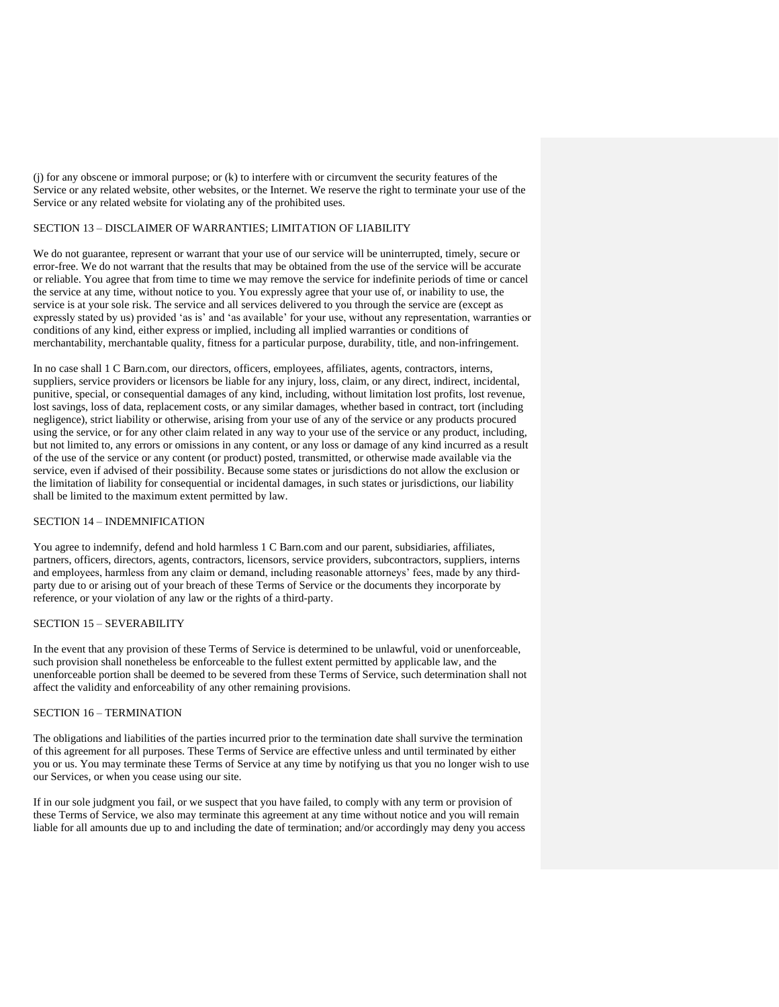(j) for any obscene or immoral purpose; or (k) to interfere with or circumvent the security features of the Service or any related website, other websites, or the Internet. We reserve the right to terminate your use of the Service or any related website for violating any of the prohibited uses.

#### SECTION 13 – DISCLAIMER OF WARRANTIES; LIMITATION OF LIABILITY

We do not guarantee, represent or warrant that your use of our service will be uninterrupted, timely, secure or error-free. We do not warrant that the results that may be obtained from the use of the service will be accurate or reliable. You agree that from time to time we may remove the service for indefinite periods of time or cancel the service at any time, without notice to you. You expressly agree that your use of, or inability to use, the service is at your sole risk. The service and all services delivered to you through the service are (except as expressly stated by us) provided 'as is' and 'as available' for your use, without any representation, warranties or conditions of any kind, either express or implied, including all implied warranties or conditions of merchantability, merchantable quality, fitness for a particular purpose, durability, title, and non-infringement.

In no case shall 1 C Barn.com, our directors, officers, employees, affiliates, agents, contractors, interns, suppliers, service providers or licensors be liable for any injury, loss, claim, or any direct, indirect, incidental, punitive, special, or consequential damages of any kind, including, without limitation lost profits, lost revenue, lost savings, loss of data, replacement costs, or any similar damages, whether based in contract, tort (including negligence), strict liability or otherwise, arising from your use of any of the service or any products procured using the service, or for any other claim related in any way to your use of the service or any product, including, but not limited to, any errors or omissions in any content, or any loss or damage of any kind incurred as a result of the use of the service or any content (or product) posted, transmitted, or otherwise made available via the service, even if advised of their possibility. Because some states or jurisdictions do not allow the exclusion or the limitation of liability for consequential or incidental damages, in such states or jurisdictions, our liability shall be limited to the maximum extent permitted by law.

#### SECTION 14 – INDEMNIFICATION

You agree to indemnify, defend and hold harmless 1 C Barn.com and our parent, subsidiaries, affiliates, partners, officers, directors, agents, contractors, licensors, service providers, subcontractors, suppliers, interns and employees, harmless from any claim or demand, including reasonable attorneys' fees, made by any thirdparty due to or arising out of your breach of these Terms of Service or the documents they incorporate by reference, or your violation of any law or the rights of a third-party.

#### SECTION 15 – SEVERABILITY

In the event that any provision of these Terms of Service is determined to be unlawful, void or unenforceable, such provision shall nonetheless be enforceable to the fullest extent permitted by applicable law, and the unenforceable portion shall be deemed to be severed from these Terms of Service, such determination shall not affect the validity and enforceability of any other remaining provisions.

#### SECTION 16 – TERMINATION

The obligations and liabilities of the parties incurred prior to the termination date shall survive the termination of this agreement for all purposes. These Terms of Service are effective unless and until terminated by either you or us. You may terminate these Terms of Service at any time by notifying us that you no longer wish to use our Services, or when you cease using our site.

If in our sole judgment you fail, or we suspect that you have failed, to comply with any term or provision of these Terms of Service, we also may terminate this agreement at any time without notice and you will remain liable for all amounts due up to and including the date of termination; and/or accordingly may deny you access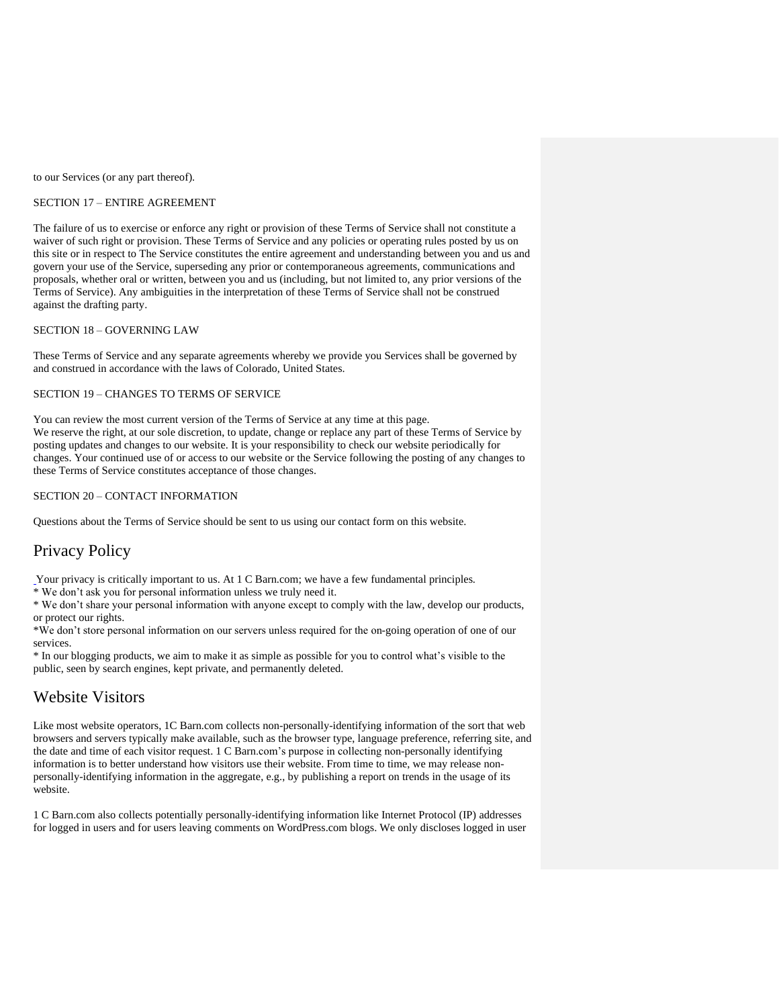to our Services (or any part thereof).

#### SECTION 17 – ENTIRE AGREEMENT

The failure of us to exercise or enforce any right or provision of these Terms of Service shall not constitute a waiver of such right or provision. These Terms of Service and any policies or operating rules posted by us on this site or in respect to The Service constitutes the entire agreement and understanding between you and us and govern your use of the Service, superseding any prior or contemporaneous agreements, communications and proposals, whether oral or written, between you and us (including, but not limited to, any prior versions of the Terms of Service). Any ambiguities in the interpretation of these Terms of Service shall not be construed against the drafting party.

#### SECTION 18 – GOVERNING LAW

These Terms of Service and any separate agreements whereby we provide you Services shall be governed by and construed in accordance with the laws of Colorado, United States.

#### SECTION 19 – CHANGES TO TERMS OF SERVICE

You can review the most current version of the Terms of Service at any time at this page. We reserve the right, at our sole discretion, to update, change or replace any part of these Terms of Service by posting updates and changes to our website. It is your responsibility to check our website periodically for changes. Your continued use of or access to our website or the Service following the posting of any changes to these Terms of Service constitutes acceptance of those changes.

#### SECTION 20 – CONTACT INFORMATION

Questions about the Terms of Service should be sent to us using our contact form on this website.

# Privacy Policy

Your privacy is critically important to us. At 1 C Barn.com; we have a few fundamental principles.

\* We don't ask you for personal information unless we truly need it.

\* We don't share your personal information with anyone except to comply with the law, develop our products, or protect our rights.

\*We don't store personal information on our servers unless required for the on-going operation of one of our services.

\* In our blogging products, we aim to make it as simple as possible for you to control what's visible to the public, seen by search engines, kept private, and permanently deleted.

# Website Visitors

Like most website operators, 1C Barn.com collects non-personally-identifying information of the sort that web browsers and servers typically make available, such as the browser type, language preference, referring site, and the date and time of each visitor request. 1 C Barn.com's purpose in collecting non-personally identifying information is to better understand how visitors use their website. From time to time, we may release nonpersonally-identifying information in the aggregate, e.g., by publishing a report on trends in the usage of its website.

1 C Barn.com also collects potentially personally-identifying information like Internet Protocol (IP) addresses for logged in users and for users leaving comments on WordPress.com blogs. We only discloses logged in user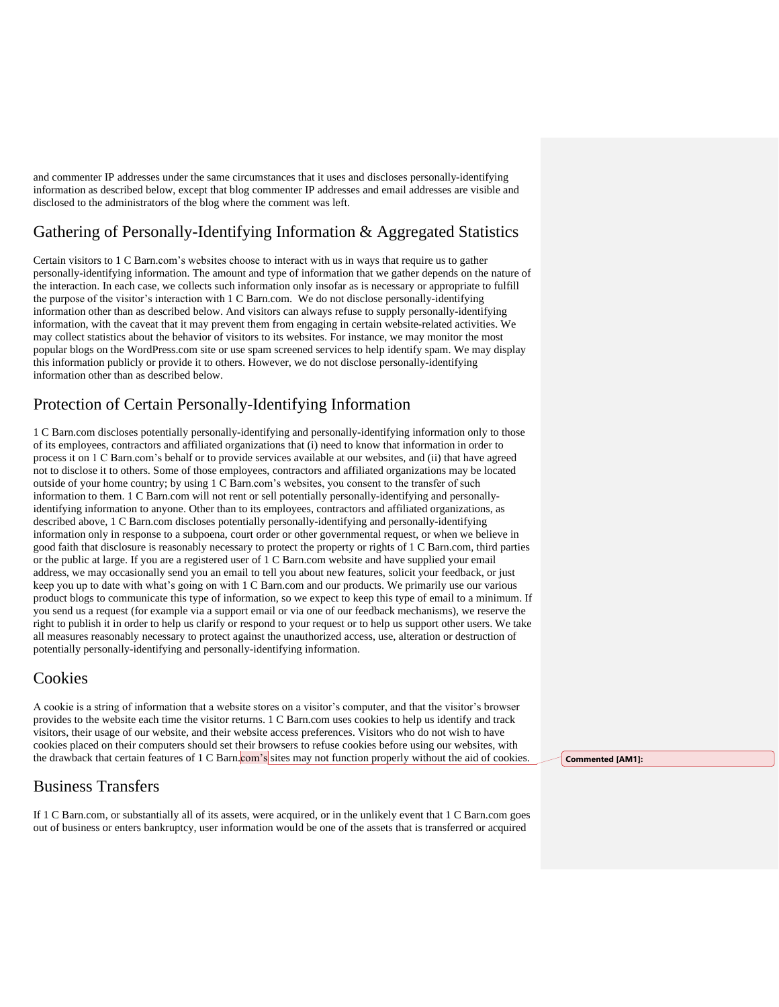and commenter IP addresses under the same circumstances that it uses and discloses personally-identifying information as described below, except that blog commenter IP addresses and email addresses are visible and disclosed to the administrators of the blog where the comment was left.

# Gathering of Personally-Identifying Information & Aggregated Statistics

Certain visitors to 1 C Barn.com's websites choose to interact with us in ways that require us to gather personally-identifying information. The amount and type of information that we gather depends on the nature of the interaction. In each case, we collects such information only insofar as is necessary or appropriate to fulfill the purpose of the visitor's interaction with 1 C Barn.com. We do not disclose personally-identifying information other than as described below. And visitors can always refuse to supply personally-identifying information, with the caveat that it may prevent them from engaging in certain website-related activities. We may collect statistics about the behavior of visitors to its websites. For instance, we may monitor the most popular blogs on the WordPress.com site or use spam screened services to help identify spam. We may display this information publicly or provide it to others. However, we do not disclose personally-identifying information other than as described below.

# Protection of Certain Personally-Identifying Information

1 C Barn.com discloses potentially personally-identifying and personally-identifying information only to those of its employees, contractors and affiliated organizations that (i) need to know that information in order to process it on 1 C Barn.com's behalf or to provide services available at our websites, and (ii) that have agreed not to disclose it to others. Some of those employees, contractors and affiliated organizations may be located outside of your home country; by using 1 C Barn.com's websites, you consent to the transfer of such information to them. 1 C Barn.com will not rent or sell potentially personally-identifying and personallyidentifying information to anyone. Other than to its employees, contractors and affiliated organizations, as described above, 1 C Barn.com discloses potentially personally-identifying and personally-identifying information only in response to a subpoena, court order or other governmental request, or when we believe in good faith that disclosure is reasonably necessary to protect the property or rights of 1 C Barn.com, third parties or the public at large. If you are a registered user of 1 C Barn.com website and have supplied your email address, we may occasionally send you an email to tell you about new features, solicit your feedback, or just keep you up to date with what's going on with 1 C Barn.com and our products. We primarily use our various product blogs to communicate this type of information, so we expect to keep this type of email to a minimum. If you send us a request (for example via a support email or via one of our feedback mechanisms), we reserve the right to publish it in order to help us clarify or respond to your request or to help us support other users. We take all measures reasonably necessary to protect against the unauthorized access, use, alteration or destruction of potentially personally-identifying and personally-identifying information.

# Cookies

A cookie is a string of information that a website stores on a visitor's computer, and that the visitor's browser provides to the website each time the visitor returns. 1 C Barn.com uses cookies to help us identify and track visitors, their usage of our website, and their website access preferences. Visitors who do not wish to have cookies placed on their computers should set their browsers to refuse cookies before using our websites, with the drawback that certain features of 1 C Barn.com's sites may not function properly without the aid of cookies.

# Business Transfers

If 1 C Barn.com, or substantially all of its assets, were acquired, or in the unlikely event that 1 C Barn.com goes out of business or enters bankruptcy, user information would be one of the assets that is transferred or acquired

**Commented [AM1]:**